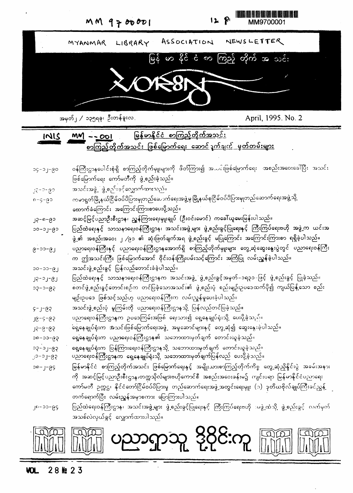

အမှတ်၂ / ၁၃၅ရခု၊ ဦးတန်ခူးလ

April, 1995. No. 2

<u>မြန်မာနိုင်ငံ စာကြည့်တိုက်အသင်း</u>  $IMIS$   $MM - 2001$ <u>စာကြည့်တိုက်အသင်း ဖြစ်မြောက်ရေး ဆောင်္ဂျက်ချက် မှတ်တမ်းများ</u>

| 09-10-50       | ဝန်ကြီးဌာနပေါင်းစုံရှိ စာကြည့်တိုက်မှူးများကို ဖိတ်ကြား၍ အတင်းဖြစ်မြောက်ရေး အစည်းအဝေးခေါ်ပြီး အသင်း          |
|----------------|--------------------------------------------------------------------------------------------------------------|
|                | ဖြစ်မြောက်ရေး ကော်မတီကို ဖွဲ့စည်းခဲ့သည်။                                                                     |
| $99 - 2 - 82$  | အသင်းအဖွဲ့ ဖွဲ့ စဉ <sup>်းခွ</sup> င့်လျှောက်ထားသည်။                                                         |
| $0 - 5 - 65$   | ကမာရွတ်မြို့နယ်ငြိမ်ဝပ်ပိပြားမှုတည်ဆောက်ရေးအဖွဲ့မှ မြို့နယ်စုငြိမ်ဝပ်ပိပြားမှုတည်ဆောက်ရေးအဖွဲ့သို့           |
|                | ထောက်ခံကြောင်း အကြောင်းကြားစာပေးပို့သည်။                                                                     |
| $35 - 6 - 62$  | အဆင့်မြင့်ပညာဦးစီးဌာန၊ ညွှန်ကြားရေးမှူးချုပ် (ဦးဝင်းမောင်) ကခေါ်ယူမေးမြန်းပါသည်။                             |
| $-9 - 10 - 00$ | ပြည်ထဲရေးနှင့် သာသနာရေးဝန်ကြီးဌာန၊ အသင်းအဖွဲ့များ ဖွဲ့စည်းခွင့်ပြုရေးနှင့် ကြီးကြပ်ရေးဗဟို အဖွဲ့က ယင်းအ      |
|                | ဖွဲ့၏ အစည်းအဝေး ၂ /၉၁ ၏ ဆုံးဖြတ်ချက်အရ ဖွဲ့စည်းခွင့် မပြုကြောင်း အကြောင်းကြားစာ ရရှိခဲ့ပါသည်။                |
| $6 - 0 - 61$   | ပညာရေးဝန်ကြီးနှင့် ပညာရေးဝန်ကြီးဌာနအောက်ရှိ စာကြည့်တိုက်မျိုးများ တွေ့ဆုံဆွေးနွေးပွဲတွင် ပညာရေးဝန်ကြီး       |
|                | က ဤအသင်းကြီး ဖြစ်မြောက်အောင် ဝိုင်းဝန်းကြိုးပမ်းသင့်ကြောင်း အကြံပြု လမ်းညွှန်ခဲ့ပါသည်။                       |
| $0 - 0 - 6$    | အသင်းဖွဲ့ စည်းခွင့် ပြန်လည်တောင်းခံခဲ့ပါသည်။                                                                 |
| $J5 - J - GJ$  | ပြည်ထဲရေးနှင့် သာသနာရေးဝန်ကြီးဌာနက အသင်းအဖွဲ့ ဖွဲ့စည်းခွင့်အမှတ်–၁ရ၃၁–ဖြင့် ဖွဲ့စည်းခွင့် ပြုခဲ့သည်။         |
| $59 - c - 6c$  | စတင်ဖွဲ့ စည်းခွင့်တောင်းစဉ်က တင်ပြခဲ့သောအသင်း၏ ဖွဲ့ စည်းပုံ စည်းမျဉ်းဥပဒေထက်ပို၍ ကျယ်ပြန့်သော စည်း           |
|                | မျဉ်းဥပဒေ ဖြစ်သင့်သည်ဟု ပညာရေးဝန်ကြီးက လမ်းညွှန်မှုပေးခဲ့ပါသည်။                                              |
| $59 - 1 - 2$   | အသင်းဖွဲ့ စည်းပုံ မူကြမ်းကို ပညာရေးဝန်ကြီးဌာနသို့ ပြန်လည်တင်ပြခဲ့သည်။                                        |
| $J2 - 9 - 8$   | ပညာရေးဝန်ကြီးဌာနက ဥပဒေကြွမ်းအဖြစ် ရေးသား၍ ရေ့နေချုပ်ရုံးသို့ ပေးပို့ခဲ့သည်။                                  |
| $59 - 9 - 9$   | ရှေ့နေချုပ်ရုံးက အသင်းဖြစ်မြောက်ရေးအဖွဲ့ အမှုဆောင်များနှင့် တွေ့ဆုံ၍ ဆွေးနွေးခဲ့ပါသည်။                       |
| $50 - 00 - 00$ | ရှေ့်နေချုပ်ရုံးက ပညာရေးဝန်ကြီးဌာန၏ သဘောထားမှတ်ချက် တောင်းယူခဲ့သည်။                                          |
| $59 - 10 - 50$ | ရှေ့နေချုပ်ရုံးက ပြန်ကြားရေးဝန်ကြီးဌာနသို့ သဘောထားမှတ်ချက် ကောင်းယူခဲ့သည်။                                   |
| $9 - 2 - 6$    | ပညာရေးဝန်ကြီးဌာနက ရှေ့နေချုပ်ရုံးသို့ သဘောထားမှတ်ချက်ပြန်လည် ပေးပို့ခဲ့သည်။                                  |
| $39 - 1 - 96$  | မြန်မာနိုင်ငံ စာကြည့်တိုက်အသင်း ဖြစ်မြောက်ရေးနှင့် အမျိုးသားစာကြည့်တိုက်ကိစ္စ တွေ့ဆုံညှိနှိုင်းပွဲ အခမ်းအနား |

#### 28 触 23 VOL.



အသစ်လဲလှယ်ခွင့် လျှောက်ထားပါသည်။

- တက်ရောက်ပြီး လမ်းညွှန်အမှာစကား ပြောကြားပါသည်။ ပြည်ထဲရေးဝန်ကြီးဌာန၊ အသင်းအဖွဲ့များ ဖွဲ့စည်းခွင့်ပြုရေးနှင့် ကြီးကြပ်ရေးဗဟို အဖွဲ့ထံသို့ ဖွဲ့စည်းခွင့် လက်မှက်  $J_{0}$ -00-66
- ကို အဆင့်မြင့်ပညာဦးစီးဌာန၊တက္ကသိုလ်များဗဟိုကောင်စီ အစည်းအဝေးခန်းမ၌ ကျင်းပရာ မြန်မာနိုင်ငံပညာရေး ကော်မတီ ဥက္ကဌ၊ နိုင်ငံတော်ငြိမ်ဝပ်ပိပြားမှု တည်ဆောက်ရေးအဖွဲ့အတွင်းရေးမှူး (၁) ဒုတိယဗိုလ်ချုပ်ကြီးခင်ညွှန့် ၂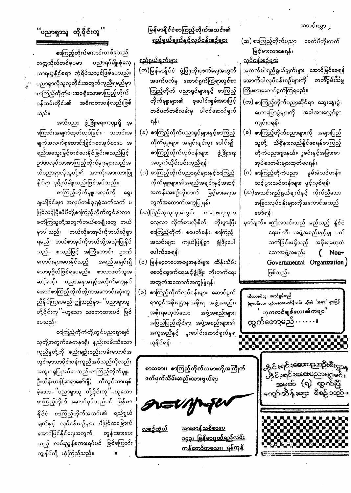သတင်းလွှာ <u>၂</u>

(ဆ) စာကြည့်တိုက်ပညာ ခေတ်မီတိုးတက် မြင့်မားလာစေရန်၊

<u>လုပ်ငန်းစဉ်များ</u> အထက်ပါရည်ရွယ်ချက်များ အောင်မြင်စေရန် အောက်ပါလုပ်ငန်းစဉ်များကို တတ်စွမ်းသမ္မ ကြိုးစားဆောင်ရွက်ကြရမည်။

(က) စာကြည့်တိုက်ပညာဆိုင်ရာ ဆွေးနွေးပွဲ၊ အခါအားလျှော်စွင ဟောပြောပွဲများကို ကျင်းပရန်၊

(ခ) စာကြည့်တိုက်ပညာများကို အများပြည် သူတို့ သိရှိနားလည်နိူင်စေရန်စာကြည့် တိုက်ပညာဂျာနယ်။ ူဇင်းနှင့်အခြားစာ အုပ်စာတမ်းများထုတ်ဝေရန်၊

(ဂ) စာကြည့်တိုက်ပညာ မွမ်းမံသင်တန်း၊ ဆင့်ပွားသင်တန်းများ ဖွင့်လှစ်ရန်၊

(ဃ)အသင်းရည်ရွယ်ချက်နှင့် ကိုက်ညီသော အခြားလုပ်ငန်းများကိုအကောင်အထည် ဖော်ရန်၊

မှတ်ချက်။ ။ဤအသင်းသည် မည်သည့် နိူင်ငံ ရေးပါတီ၊ အဖွဲ့အစည်းနှင့်မျှ ပတ် အစိုးရမဟုတဲ သက်ခြင်းမရှိသည့်  $\zeta$ သောအဖွဲ့အစည်း၊ Non+ Governmental Organization) ဖြစ်သည်။

ထီလာစစ်သူ၊ မောင်စွမ်းရည် မုံရွာဝင်းပေ၊ ပျဉ်းမနားမောင်နီသင်း တို၏ 'အမှာ' များဖြင့် ာာုတလင်ချ**စ်လေး၏ကဗျာ** ' ထွက်တော့မည် . . . . . . ။

<u> పొల్ల :ఆయాన్స్ బ్లాం</u>

မြန်မာနိုင်ငံစာကြည့်တိုက်အသင်း၏ <u>ရည်ရွယ်ချက်နှင့်လုပ်ငန်းစဉ်များ</u>

<u>ရည်ရွယ်ချက်များ</u> (က)မြန်မာနိုင်ငံ ဖွံ့ဖြိုးတိုးတက်ရေးအတွက် အဖက်ဖက်မှ ဆောင်ရွက်ကြွရာတွင်စာ ကြၙည့်တိုက် ပညာရှင်များနှင့် စာကြည့် တိုက်မျှုးများ၏ စုပေါင်းစွမ်းအားဖြင့် တစ်ဖက်တစ်လမ်းမှ ပါဝင်ဆောင်ရှက် ရန်၊

(ခ) စာကြည့်တိုက်ပညာရှင့်များနှင့်စာကြည့် တိုက်မှူးများ အချင်းချင်းပူး ပေါင်း၍ စာကြည့်တိုက်လုပ်ငန်းများ ပွဲ့ပြိုးရေး အတွက်ယိုင်းပင်းကူညီရန်၊

(ဂ) စာကြည့်တိုက်ပညာရှင်များနှင့်စာကြည့် တိုက်မှူးများ၏အရည်အချင်းနှင့်အဆင့် အတန်းအစဉ်တိုးတက် မြင့်မားရေးအ တွ<mark>က်အထ</mark>ောက်အကူပြုရန်၊

(ဃ)ပြည်သူလူထုအတွင်း စာပေဗဟုသုတ လေ့လာ လိုက်စားလိုစိတ် တိုးပွားပြီး စာကြည့်တိုက်၊ စာဖတ်ခန်း၊ စာကြည့် အသင်းများ ကျယ်ပြန့်စွာ ဖွံဖြိုးပေါ် ပေါက်စေရန်၊

(င) မြန်မာ့စာပေအမွေအနှစ်များ ထိန်းသိမ်း စောင့်ရှောက်ရေးနှင့်ဖွံ့ဖြိုး တိုးတက်ရေး အတွက်အထောက်အကူပြုရန်၊

(စ) စာကြည့်တိုက်လုပ်ငန်းများ ဆောင်ရွက် ရာတွင်အစိုးရဌာန၊အစိုးရ အဖွဲ့အစည်း၊ ှ<mark>အစိုးရမဟု</mark>တ်သော အဖွဲ့အစည်းများ၊ အပြည်ပြည်ဆိုင်ရာ အဖွဲ့အစည်းများ၏ အကူအညီနှင့် ပူးပေါင်းဆောင်ရှက်မူရ ယူနိုင်ရန်၊

စာသမား၊ စာကြည့်တိုက်သမားတို့အကြိုက်

<sup>''</sup>ပညာရှာသူ တို့၀ိုင်းကူ<sup>''</sup>

စာကြည့်တိုက်ကောင်းတစ်ခုသည် ပညာရပ်မျိုးစုံလေ့ တက္ကသိုလ်တစ်ခုပမာ လာရယူနိုင္ငံစရာ ဘုံရိပ်သာပ္၀င်ဖြစ်ပေသည်။ ပညာရှာလိုသူလူတိုင်းအတွက်ကူညီရမည်မှာ စာကြည့်တိုက်မျုးအစရှိသောစာကြည့်တိုက် ဝန်ထမ်းတိုင်း၏ အဓိကတာဝန်လည်းဖြစ် သည်။

အသိပညာ ဖွံ့ဖြိုးရေးကဏ္ဍရှိ အ ကြောင်းအချက်ထုတ်လုပ်ခြင်း၊ · သတင်းအ ချက်အလက်စုဆောင်းခြင်း၊စာအုပ်စာပေ အ ရည်အသွေးမြှင့်တင်ပေးနိုင်ခြင်း၊စသည်ဖြင့် ဉာဏလုပ်သာ<del>ဆာကြည့်</del>တိုက်မှူးများသည်အ သိပညာရှာလိုသူတို့၏ အားကိုးအားထားပြု နိုင်ရာ ပုဂ္ဂိုလ်မျိုးလည်းဖြစ်အပ်သည်။

စာကြည့်တိုက်မှူးအလုပ်ကို **ရွေး** ချယ်ခြင်းမှာ အလုပ်တစ်ခုရရုံသက်သက် မ ဖြစ်သင့်ပြီ။မိမိတို့စာကြည့်တိုက်တွင်စာလာ ဖတ်ကြသူတို့အတွက်ဘယ်စာမျိုးတွေ ဘယ် မှာပါသည်၊ ဘယ်လိုစာအုပ်ကိုဘယ်လိုရှာ ရမည်၊ ဘယ်စာအုပ်ကိုဘယ်သို့အသုံးပြုနိုင် သည်– စသည်ဖြင့် အကြံကောင်း၊ ဉာဏ် အရည်အချင်းရှိ ကောင်းများပေးနိုင်သည့် သောပုဂ္ဂိလ်ဖြစ်ရပေမည်။ စာလာဖတ်သူအ ဆင့်ဆင့်၊ ပညာအနုအရင့်အလိုက်ကျေနပ် အောင်စာကြည့်တိုက်တို့ကအကောင်းဆုံးကူ ညီနိုင်ကြပေမည်။ဤသည်မှာ– 'ပညာရှာသူ တို့ဝိုင်းကူ ''–ဟူသော သဘောထားပင် ဖြစ် ပေသည်။

စာကြည့်တိုက်တို့တွင်ပညာရှာချင် သူတို့အတွက်စေတနာရှိ၊ နည်းလမ်းသိသော ကူညီမှုတို့ကို စည်းမျဉ်းစည်းကမ်းဘောင်အ တွင်းမှာသာဝိုင်းဝန်းကူညီအပ်သည်ကိုလည်း အထူးဂရုပြုအပ်ပေသည်။စာကြည့်တိုက်မှူး

| ဦးသိန်းဟန်(ဆရာဓော်ဂျီ) တီထွင်ထားရစ်        | ဖတ်မှတ်သိမ်းဆည်းထားဖွယ်ရာ                 | $\mathbf{1}$ over the set of $\mathbb{C}$<br><u>အမှတ် (၅) ထွက်ပြီ</u> |
|--------------------------------------------|-------------------------------------------|-----------------------------------------------------------------------|
| ခဲ့သော– ပညာရှာသူ တို့ဝိုင်းကူ ''–ဟူသော     |                                           | ကျော်သိန်းဌေး စီစဉ်သည်။                                               |
| စာကြည့်တိုက် ဆောင်ပုဒ်သည်ပင် မြန်မာ        | AEUMSU                                    |                                                                       |
| နိုင်ငံ <i>စာ</i> ကြည့်တိုက်အသင်း၏ ရည်ရွယ် |                                           | .                                                                     |
| ချက်နှင့် လုပ်ငန်းစဉ်များ ပီပြင်ထမြောက်    | <u>အားမာန်သစ်စာပေ</u><br><u>လစဉ်ထုံတိ</u> | ▔▆▔▆▔▆▔▆▔▆▔▆▔▆▔▆▔▆▔▆▔<br>▞▗▚▔▆▔▆▔▆▔▆▔▆▔▆▔▆▔<br>fotov kondo po         |
| အောင်မြင်နိုင်ရေးအတွက် တွန်းအားပေး         | <u>၁၄၃၊ မြန်မာ့ဂုဏ်ရည်လမ်း</u>            | Fernandezh<br>.                                                       |
| သည့် လမ်းညွှန်စကားရပ်ပင် ဖြစ်ကြောင်း       | <u>ကန်တော်ကလေး၊ ရန်ကုန်</u>               | . .                                                                   |
| ကျွန်ုပ်တို့ ယုံကြည်သည်။<br>-              |                                           |                                                                       |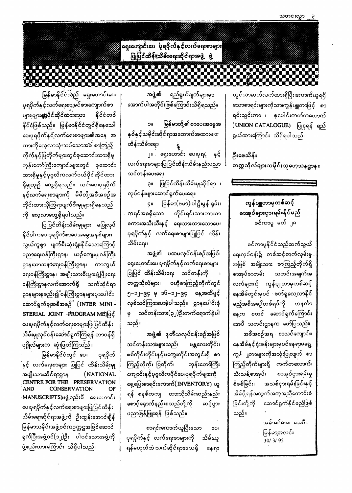ရှေးဟော့င်းပေ ပုံရပိုက်နှင့်လက်ရေးစာများ ပြုပြင်ထိန်းသိမ်းရေးဆိုင်ရာအဖွဲ့ ဖွဲ့

# <u>LA BILITA LA BILITA DELL'ALLA DELL'ALLA DELL'ALLA DELL'ALLA DELL'ALLA DELL'ALLA DELL'ALLA DELL'ALLA DELL'ALLA </u> **O DE SER DE DE LA BORDA DE**

တွင်သာဆက်လက်ထားရှိပြီး၊ကောက်ယူရရှိ သောစာရင်းများကိုသာ၊ကွန်ပျူတာဖြင့် စာ ရင်းသွင်းကာ ၊ စုပေါင်းကတ်တလောက် (UNION CATALOGUE) ပြုစုရန် ရည် ရွယ်ထားကြောင်း သိရှိရပါသည်။

ဦးဖေသိန်း တက္ကသိုလ်များသမိုင်းသုတေ့သနဌာန။

ကျွန်ပျူတာမှတစ်ဆင့် စာအုပ်များငှားရမ်းနိုင်မည် စင်ကာပူ မတ် ၂၈

စင်ကာပူနိုင်ငံသည်ဆက်သွယ် ရေးလုပ်ငန်း၌ တစ်ဆင့်တက်လှမ်းမှု. အဖြစ် အမျိုးသား စာကြည့်တိုက်ရှိ သတင်းအချက်အ စာအုပ်စာတမ်း လက်များကို ကွန်ပျူတာမှတစ်ဆင့် နေအိမ်တွင်းမှပင် ဖတ်ရှုလေ့လာနိုင် မည့်အစီအစဉ်တစ်ရပ်ကို တနင်္လာ နေ့က စတင် ဆောင်ရွက်ကြောင်း အေပီ သတင်းဌာနက ဖော်ပြသည်။ အစီအစဉ်အရ . စာသင်ကျောင်း၊ နေအိမ်နှင့်ရုံးခန်းများမှပင်နေရာမရွေ့ ကွ*န်* ျှတာများကိုအသုံးပြုလျက် စာ ကြည့်တိုက်များရှိ ကက်တလောက်၊ သီးသန်စာအုပ်၊ စာအုပ်ငှားရမ်းမ

အဖွဲ့၏ ရည်ရွယ်ချက်များမှာ အောက်ပါအတိုင်းဖြစ်ကြောင်းသိရှိရသည်။

မြ**န်မာတို့၏စာပေ၊အ**မွေအ  $\mathsf{N}$ C နှစ်နှင့်သမိုင်းဆိုင်ရာအထောက်အထားများ ထိန်းသိမ်းရေး၊ ၂။ ရှေးဟောင်း ပေ၊ပုရင္ပဲ နှင့် လက်ရေးစာများပြုပြင်ထိန်းသိမ်းနည်းပညာ သင်တန်းပေးရေး၊

၃။ ပြုပြင်ထိန်းသိမ်းမှုဆိုင်ရာ ၊ လုပ်ငန်းများဆောင်ရွက်ပေးရေး၊

မြန်မာ(ဗမာ)၊ပါဠိ၊မွန်၊ရှမ်း၊ **Ç**II ကရင်အစရှိသော တိုင်းရင်းသားဘာသာ စကားအသီးသီးနှင့် ရေးသားထားသောပေ၊ ပုရပိုက်နှင့် လက်ရေးစာများပြုပြင် ထိန်း သိမ်းရေး၊

အဖွဲ့၏ ပထမလုပ်ငန်းစဉ်အဖြစ်၊ ရှေးဟောင်းပေ၊ပုရပိုက်နှင့်လက်ရေးစာများ ပြုပြင် ထိ**န်းသိမ်းရေး** သင်တန်းကို တက္ကသိုလ်များ၊ ဗဟိုစာကြည့်တိုက်တွင် ၅–၁၂–၉၄ မှ ၁၆–၁၂–၉၄ နေ့အထိဖွင့် လှစ်သင်ကြားပေးခဲ့ပါသည်။ ဌာနပေါင်းစုံ သင်တန်းသား(၃၂)ဦးတက်ရောက်ခဲ့ပါ  $\theta$ သည်။

အဖွဲ့၏ ဒုတိယလုပ်ငန်းစဉ်အဖြစ် သင်တန်းသားများသည်၊ မန္တလေးတိုင်း၊ စစ်ကိုင်းတိုင်းနှင့်မကွေးတိုင်းအတွင်းရှိ စာ ကြည့်တိုက်၊ ပြတိုက်၊ ဘုန်းတော်ကြီး ကျောင်းနှင့်ပုဂ္ဂလိကပိုင်ပေ၊ပုရပိုက်များကို ရှေပြေးစာရင်းကောက်(INVENTORY) ပ ရန် စနစ်တကျ ထားသိုသိမ်းဆည်းနည် စောင့်ရှောက်နည်းစသည်တို့ကို ဆင့်ပွာ ပညာဖြန့်ဖြူးရန် ဖြစ်သည်။ စာရင်းကောက်ယူပြီးသော  $\mathbf{c}$ ပုရပိုက်နှင့် လက်ရေးစာများကို သိမ်းယူ

ရန်မဟုတ်ဘဲ၊သက်ဆိုင်ရာဒေသရှိ

မြန်မာနိုင်ငံသည် ရှေးဟောင်းပေ၊ ပုရပိုက်နှင့်လက်ရေးစာ့၊မင်စာ၊ကျောက်စာ များ၊များစွပ်ပိုင်ဆိုင်ထားသော နိုင်ငံတစ် နိုင်ငံဖြစ်သည်။ မြန်မာနိုင်ငံတွင်ရှိနေသေါ ပေ၊ပုရပိုက်နှင့်လက်ရေးစာများ၏အနေ အ ထားကိုလေ့လာသုံးသပ်သောအခါစာကြည့် တိုက်နှင့်ပြတိုက်များတွင်စုဆောင်းထားရှိမှု ဘုန်းတော်ကြီးကျောင်းများတွင် စုဆောင်း ထားရှိမှုနှင့်ပုဂ္ဂလိကလက်ဝယ်ပိုင်ဆိုင်ထား ရှိမှုဟူ၍ တွေ့ရှိရသည်။ ယင်းပေးပုရပိုက် နှင့်လက်ရေးစာများကို မိမိတို့အစီအစဉ်အ တိုင်းထားသိုကြရာပျက်စီးမှုများရှိနေသည် ကို လေ့လာတွေ့ရှိရပါသည်။

ပြုပြင်ထိန်းသိမ်းမှုများ မပြုလုပ် နိုင်ပါကပေ၊ပုရပိုက်စာပေအမွေအနှစ်များ၊ လွယ်ကူစွာ ပျက်စီးဆုံးရှုံးနိုင်သောကြောင့် ပညာရေးဝန်ကြီးဌာန၊ ယဉ်ကျေးမှုဝန်ကြီး ဌာန၊သာသနာရေးဝန်ကြီးဌာန၊ ကာကွယ် ရေးဝန်ကြီးဌာန၊ အမျိုးသားစီးပွားဖွံ့ဖြိုးရေး ၀န်ကြီးဌာနလက်အောက်ရှိ သက်ဆိုင်ရာ ဌာနများစုစည်း၍ ဝန်ကြီးဌာနများပူးပေါင်း ဆောင်ရွက်မှုအစီအစဉ်ႆ (INTER MINI -STERIAL JOINT PROGRAM ME) GE ပေ၊ပုရပိုက်နှင့်လက်ရေးစာများပြုပြင်ထိ<mark>န်</mark>း သိမ်းမှုလုပ်ငန်းဆောင်ရွက်ကြရန်၊တာဝန်ရှိ ပုဂ္ဂိုလ်များက ဆုံးဖြတ်ကြသည်။

မြန်မာနိုင်ငံတွင် ပေ၊ ပုရပိုက် နှင့် လက်ရေးစာများ ပြုပြင် ထိန်းသိမ်းမှု <mark>အမျိုးသားဆိုင်ရာဌာန (NATIONAL</mark> CENTRE FOR THE PRESERVATION **AND CONSERVATION** OF MANUSCRIPTS)မဖွဲ့စည်းမီ ရှေးဟောင်း ပေ၊ပုရပိုက်နှင့်လက်ရေးစာများပြုပြင်ထိ<mark>န်</mark>း သိမ်းရေးဆိုင်ရာအဖွဲ့ကို ဦးထွန်းအောင်ချိန် မြန်မာသမိုင်းအဖွဲ့ဝင်ကဉက္ကဌအဖြစ်ဆောင် ရုက်ပြီးအဖွဲ့ဝင်(၁၂)ဦး ပါဝင်သောအဖွဲ့ကို ဖွဲ့စည်းထားကြောင်း သိရှိပါသည်။

| いいし      |              | သူမဟုတ္ပ္မဟုတ္ေပါင္း စာသစ္မဟုတ္ အရတ္ မွာ |
|----------|--------------|------------------------------------------|
| $Y)$ ယူ  |              | စိစစ်ခြင်း၊ အသစ်ငှားရမ်းခြင်းနှင့်       |
| ):နည်း   |              | အိမ်ပို့ရန်အတွက်အကူအညီတောင်းခံ           |
| ၁င့်ပွား | ခြင်းတို့ကို | ဆောင်ရှက်နိုင်မည်ဖြစ်                    |
|          | သည်။         |                                          |
|          |              | အမ်အင်အေ၊ အေပီ။                          |
| GOI      |              | မြန်မာ့အလင်း                             |
| }မ်းယူ   |              | 30/3/95                                  |
| နေရာ     |              |                                          |
|          |              |                                          |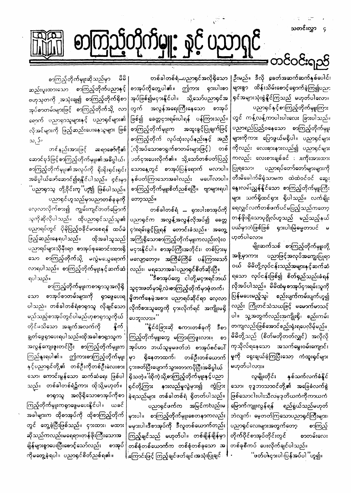သတင်းလွှာ Ç

တင်ဝင်းရည်

 $\left|\mathbf{Q}\right|$  ,  $\delta \mathbf{Q}$   $\left(\mathbf{Q}\right)$ 

တစ်ခါတစ်ရံ...ပညာရှင်အလိုရှိသော |ဦးမည်။ ဒီလို ခေတ်အဆက်ဆက်နှစ်ပေါင်း များစွာ ထိန်းသိမ်းစောင့်ရှောက်ခဲ့ကြ၍ပညာ ရှင်အများသုံးစွဲနိူင်ကြသည် မဟုတ်ပါလော။ ပညာရှင်နှင့်စာကြှည့်တိုက်မျုးကြား တွင် ကန့်လန့်ကာပါးပါးလေး ခြားပါသည်။ ပညာရည်ပြည်ဝနေသော စာကြည့်တိုက်မျုး များကိုကား ပြောဖွယ်မရှိပါ။ ပညာရှင်များ ကိုလည်း လေးစှားနားလည်၍ ပညာရှင်များ ကလည်း လေးစားချစ်ခင် း ားကိုးအားထား ပညာရပ်တော်တော်များများကို တီးမိခေါက်မိရုံသာမက ထဲထဲဝင်ဝင် ဆွေး နွေးလမ်းညွှန်နိူင်သော စာကြည့်တိုက်မျုးကြီး များ သက်ရှိထင်ရှား ရှိပါသည်။ လက်ချိုး ရေလျှင်လက်တစ်ဖက်ပင်မပြည့်သည်ကတော့ တန်ဖိုးရှိသောပုဂ္ဂိုလ်ဟူသည် မည်သည့်နယ် ပယ်မှာဘဲဖြစ်ဖြစ် ရှားပါးမြဲဓမ္မတာပင် မ ဟုတ်ပါလော။

> မျိုးဆက်သစ် စာကြည့်တိုက်မှူးတို့ ပညာဖြင့်အလုပ်အကျေးပြုရာ အဖို့မှာကား ၀ယ် မိမိတို့လုပ်ငန်းသည့်အများနှင့်ဆက်ဆံ ရသော လုပ်ငန်းဖြစ်၍ စိတ်ရှည်သည်းခံရန် လိုအပ်ပါသည်။ မိမိထံမှစာအုပ်ငှားရမ်းသူကို ပြန်မပေးမည့်သူ၊ စည်းပျက်ကမ်းပျက်ဟူ၍ လည်း ကြိုတင်သံသယဖြင့် မမောက်မာသင့် ပါ။ သူ့အတွက်လည်းအကျိုးရှိ၊ စည်းကမ်း တကျလည်းဖြစ်အောင်စည့်းရုံးရပေလိမ့်မည်။ မိမိတို့သည် (စိတ်မတိုတတ်လျှင်) အလိုလို ကုသိုလ်ရနေသော အသက်မွေးဝမ်းကျောင်း မှုကို ရွေးချယ်ခဲ့ကြပြီးသော ကံထူးရှင်များ မဟုတ်ပါလား။

စာအုပ်ကိုတွေ့ပါ၏။ ဤကား ရှားပါးစာ သို့သော်ပညာရှင်အ အုပ်ဖြစ်၍မငှားနိူင်ပါ။ တွက် အလွန်အရေးကြီးနေသော စာအုပ် ဖြစ်၍ ခေတ္တငှားရမ်းပါရန် ပန်ကြားသည်။| စာကြည့်တိုက်မျုးက အထူးခွင့်ပြုချက်ဖြင့် | စာကြည့်တိုက် လုပ်ထုံးလုပ်နည်းနှင့် အညီ| <u>့</u><br>(လိုအပ်သောစာရှက်စာတမ်းများဖြင့်) တစ် ပတ်ငှားပေးလိုက်၏။ သို့သော်တစ်ပတ်ပြည့် သောနေ့တွင် စာအုပ်ပြန်ရောက် မလာပါ။|ပြုရသော၊ နှစ်ပတ်ကြာသောအခါလည်း မပေါ်လာပါ။ စာကြည့်တိုက်မျုးစိတ်ညစ်ရပြီ။ ဗျာများရပါ တော့သည်။

တစ်ခါတစ်ရံ ... ရှားပါးစာအုပ်ကို ပညာရှင်က အလွန့်အလွန်လိုအပ်၍ ခေတ္တ ငှ**ားရမ်းခွင့်ပြုရန် တောင်းခံသည်။ အတွေ့** အကြုံရှိသောစာကြည့်တိုက်မျှးကလည်းလုံးဝ မငှားနိူင်ပါ။ စာအုပ်ကြီးအတိုင်း၊ တစ်ပြားမှ မလျော့တော့။ အကြိမ်ကြိမ် ပန်ကြားသော် လည်း၊ မရသောအခါပညာရှင်စိတ်ဆိုးပြီ။ .<br>မြန်မာအုပ်တွေ ငါတို့မငှအရင်ဘယ်

သူငှားဖတ်မှာမို့လဲ၊စာကြည့်တိုက်မှာဖုံတက်၊ မှိုတက်နေမဲ့အစား ပညာရပ်ဆိုင်ရာ လေ့လာ လိုက်စားသူတွေကို ငှားလိုက်ရင် အကျိုးမရှိ ပေဘူးလား။ ''

ိနိုင်ငံခြားဆို စကားတစ်ခုကို ဒီစာ ကြည့်တိုက်မှူးတွေ မကြားကြဖူးလား။ ൌ အုပ်ဟာ ဘယ်သူမှမဖတ်ဘဲ စာအုပ်စင်ပေါ် ရှိနေတာထက်၊ တစ်ဦးတစ်ယောက် မှာ

စာကြည့်တိုက်မျုးဆိုသည်မှာ  $\overset{\mathtt{o}}{\mathtt{\omega}}\overset{\mathtt{o}}{\mathtt{\omega}}$ ဆည်းပူးထားသော စာကြည့်တိုက်ပညာနှင့် ဗဟုသုတကို အသုံးချ၍ စာကြည့်တိုက်ရှိစာ အုပ်စာတမ်းများဖြင့် စာကြည့်တိုက်သို့ လာ ရောက် ပညာရှာသူ<mark>များနှင့် ပညာရှင်များ၏</mark> လိုအင်များကို ဖြည့်ဆည်းပေးနေသူများ ဖြစ်  $\infty, S_n$ 

ဆရာဇော်ဂျီ၏ တင်နည်းအားဖြင့် ဆောင်ပုဒ်ဖြင့်စာကြည့်တိုက်မျိုး၏အဓိပ္ပါယ်၊ စာကြည့်တိုက်မှူး၏အလုပ်ကို ရိုးရိုးရှင်းရှင်း အဓိပ္ပါယ်ဖော်ဆောင်၍ရနိုင်ပါသည်။ ၄င်းမှာ <sup>''</sup>ပညာရှာသူ တို့ဝိုင်းကူ<sup>''</sup>ဟူ၍ ဖြစ်ပါသည်။ ပညာရှင်ဟူသည်မှာပညာတစ်ခုခုကို

လေ့လာလိုက်စား၍ ကျွမ်းကျင်တတ်မြောက် သူကိုဆိုလိုပါသည်။ ထိုပညာရှင်သည်သူ**၏** ပညာရပ်တွင် ပိုမိုပြည့်ဝခိုင်မာစေရန် ထပ်မံ ဖြည့်ဆည်းနေရပါသည်။ ထိုအခါသူသည် ပညာရပ်များသိုမှီးရာ စာအုပ်စုဆောင်းထားရှိ သော စာကြည့်တိုက်သို့ မလွဲမသွေရောက် လာရပါသည်။ စာကြည့်တိုက်မျုးနှင့်ဆက်ဆံ ရပါသည်။

<sup>်</sup>စာကြည့်တိုက်မျုးကစာရှာသူအလိုရှိ စာအုပ်စာတမ်းများကို ရှာဖွေပေးရ သော ပါသည်။ တစ်ခါတစ်ရံစာရှာသူ လိုချင်သော မည်သည့်စာအုပ်တွင်ပါမည်ဟုစာရှာသူကိုယ် တိုင်မသိသော အချက်အလက်ကို နိက် ချွတ်ဖွေရှာပေးရပါသည်။ထိုအခါစာရှာသူက အလွန်ကျေးဇူးတင်ပြီး စာကြည့်တိုက်မျုးက ကြည်နူးရပါ၏။ ဤကားစာကြည့်တိုက်မျုး နှင့်ပညာရှင်တို့၏ တစ်ဦးကိုတစ်ဦးလေးစား|ငှားဖတ်ပြီးပျောက်သွားတာကပိုပြီးအဓိပ္ပါယ်

|                                          | သော၊ ကောင်းမွန်သော ဆက်ဆံရေး ဖြစ်ပါ  ရှိသတဲ့။ ထိုကဲ့သို့စာကြည့်တိုက်မှူးနှင့်ပညာ       လူမျိုးတိုင်း   နှစ်သက်လက်ခံနိူင်                |                                                                       |
|------------------------------------------|----------------------------------------------------------------------------------------------------------------------------------------|-----------------------------------------------------------------------|
| သည်။ တစ်ခါတစ်ရံ၌ကား ထိုသို့မဟုတ်။        | ရှင်တို့ကြား နားလည်မှုလွဲမှား၍ ကွဲပြား သော၊ ဗုဒ္ဓဘာသာဝင်တို့၏ အခြေခံလက်စွဲ                                                             |                                                                       |
|                                          | စာရှာသူ အလိုရှိသောစာအုပ်ကိုစာ နဲ့ရသည်များ တစ်ခါတစ်ရံ ရှိတတ်ပါသည်။ ဖြစ်သောငါးပါးသီလမှဒုတိယကံကိုကာယကံ                                    |                                                                       |
|                                          | ကြည့်တိုက်မှူးကရှာဖွေမပေးနိုင်ပါ။ ယခင် $\vert$ ပညာရှင်ဖက်က အမြင်ကလည်းမ $\vert$ မြောက်ကျူးလွန်ရန် ရည်ရွယ်သည်မဟုတ်                       |                                                                       |
|                                          | အခါများက ထိုစာအုပ်ကို ထိုစာကြည့်တိုက် မှားပါ။ စာကြည့်တိုက်မှူးစေတနာကလည်း ဘဲလျက်၊ မေ့တတ်ကြသောပညာရှင်ကြီးများ၊                           |                                                                       |
| တွင် တွေ့ခဲ့ပြီးဖြစ်သည်။ ငှားထား၊ မထား   |                                                                                                                                        | မမှားပါ။ဒီစာအုပ်ကို ဒီလူတစ်ယောက်တည်း  ပညာရှင်လေးများအတွက်တော့ စာကြည့် |
|                                          | ဆိုသည်ကလည်းမရေရာ။တန်ဖိုးကြီးသောအ ကြည့်ချင်သည် မဟုတ်ပါ။ တစ်ချိန်ချိန်မှာ တိုက်ပိုင်စာအုပ်တိုင်းတွင် စာတမ်းလေး                           |                                                                       |
| ချိန်များစွာပေးပြီးစောင့်သော်လည်း စာအုပ် | ုတစ်စုံတစ်ယောက်က တစ်စုံတစ်ခုသော အ တစ်ခုစီကပ် ပေးလိုက်ချင်ပါသည်။                                                                        |                                                                       |
|                                          | ကိုမတွေ့ခဲ့ရပါ။ ပညာရှင်စိတ်ညစ်ရ၏။ မြကြောင်းဖြင့်ကြည့်ချင်ဖတ်ချင်၊အသုံးပြုချင် <sup>့ န</sup> - ''ဖတ်ပါ၊ငှားပါ၊ပြန်အပ်ပါ <i>'</i> 'ဟူ၍။ |                                                                       |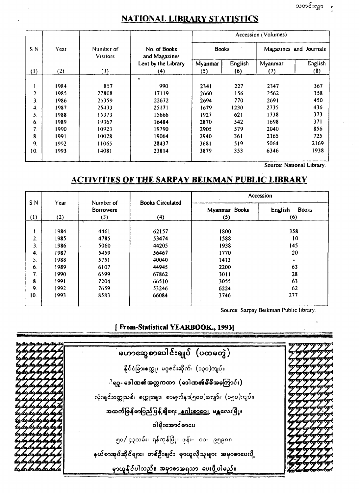## **NATIONAL LIBRARY STATISTICS**

|                |       |                              | Accession (Volumes)           |                |                |                |                        |
|----------------|-------|------------------------------|-------------------------------|----------------|----------------|----------------|------------------------|
| S N            | Year  | Number of<br><b>Visitors</b> | No. of Books<br>and Magazines | <b>Books</b>   |                |                | Magazines and Journals |
| (1)            | (2)   | (3)                          | Lent by the Library<br>(4)    | Myanmar<br>(5) | English<br>(6) | Myanmar<br>(7) | English<br>(8)         |
| 1.             | 1984  | 857                          | 990                           | 2341           | 227            | 2347           | 367                    |
| 2.             | 1985  | 27808                        | 17119                         | 2660           | 156            | 2562           | 358                    |
| 3.             | 1986  | 26359                        | 22672                         | 2694           | 770            | 2691           | 450                    |
| $\ddot{ }$     | 1987  | 25433                        | 25171                         | 1679           | 1230           | 2735           | 436                    |
| 5.             | 1988  | 15373                        | 15666                         | 1927           | 621            | 1738           | 373                    |
| 6.             | 1989  | 19367                        | 16484                         | 2870           | 542            | 1698           | 371                    |
| 7.             | 1990  | 10923                        | 19790                         | 2905           | 579            | 2040           | 856                    |
| 8.             | 1991  | 10028                        | 19064                         | 2940           | 361            | 2365           | 725                    |
| 9 <sub>1</sub> | 1992. | 11065                        | 28437                         | 3681           | 519            | 5064           | 2169                   |
| 10.            | 1993  | 14081                        | 23814                         | 3879           | 353            | 6346           | 1938                   |

Source: National Library.

## **ACTIVITIES OF THE SARPAY BEIKMAN PUBLIC LIBRARY**

|                  |      |                               |                         |               | Accession               |
|------------------|------|-------------------------------|-------------------------|---------------|-------------------------|
| S.N              | Year | Number of<br><b>Borrowers</b> | <b>Books Circulated</b> | Myanmar Books | English<br><b>Books</b> |
| (1)              | (2)  | (3)                           | (4)                     | (5)           | (6)                     |
|                  | 1984 | 4461                          | 62157                   | 1800          | 358                     |
| Ι.<br>2.         | 1985 | 4785                          | 53474                   | 1588          | 10                      |
| 3.               | 1986 | 5060                          | 44205                   | 1938          | 145                     |
| $\boldsymbol{4}$ | 1987 | 5459                          | 56467                   | 1770          | 20                      |
| 5.               | 1988 | 5751                          | 40040                   | 1413          | ۰.                      |
| 6.               | 1989 | 6107                          | 44945                   | 2200          | 63                      |
| 7 <sub>1</sub>   | 1990 | 6599                          | 67862                   | 3011          | 28                      |
| 8.               | 1991 | 7204                          | 66510                   | 3055          | 63                      |
| 9 <sub>1</sub>   | 1992 | 7659                          | 53246                   | 6224          | 62                      |
| 10.              | 1993 | 8583                          | 66084                   | 3746          | 277                     |
|                  |      |                               |                         |               |                         |

Source: Sarpay Beikman Public library

## **[ From-Statistical YEARBOOK., 1993]**

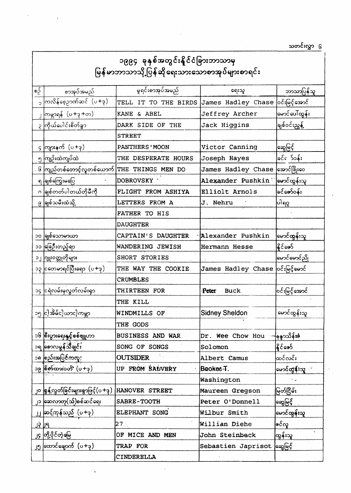သတင်းလွှာ ၆

|      | ၁၉၉၄ ခုနှစ်အတွင်းနိုင်ငံခြားဘာသာမှ<br>မြန်မာဘာသာသို့ပြန်ဆိုရေးသားသောစာအုပ်များစာရင်း |                            |                                   |                                       |  |  |
|------|--------------------------------------------------------------------------------------|----------------------------|-----------------------------------|---------------------------------------|--|--|
| စဉ်် | စာအုပ်အမည်                                                                           | မူရင်းစာအုပ်အမည်           | ရေးသူ                             | ဘာသာပြန်သူ                            |  |  |
|      | ကြလိန်စေ့ဥာဏ်ဆင် (ပ+ဒု)                                                              | TELL<br>TO THE BIRDS<br>IT | James Hadley Chase                | ဝင်းမြင့်အောင်                        |  |  |
|      | ကြမ္ဘာရန် (ပ+ဒု+တ)                                                                   | KANE & ABEL                | Jeffrey Archer                    | မောင်ပေါ်ထွန်း                        |  |  |
|      | ၃ ကြိယ်ပေါင်းစိတ်ခွာ                                                                 | DARK SIDE OF THE           | Jack Higgins                      | ခြုစ်ဝင်းညွှန့်                       |  |  |
|      |                                                                                      | <b>STREET</b>              |                                   |                                       |  |  |
|      | $G$ ကျားနက် $(0+3)$                                                                  | PANTHERS ' MOON            | Victor Canning                    | <b>ြ</b> ဆွေမြင့်                     |  |  |
|      | ၅ ကျဉ်းထဲကျပ်ထဲ                                                                      | THE DESPERATE HOURS        | Joseph Hayes                      | ခြင်¢ာ ၁်ဝန်း၊                        |  |  |
|      | ၆ ကြုည်တစ်တောင့်လူတစ်ယောက် THE THINGS                                                | MEN DO                     | James Hadley Chase                | အောင်ဖြိုးဝေ                          |  |  |
|      | ရ ခြုစ်ကြွေးမပြေ                                                                     | DOBROVSKY ·                | Alexander Pushkin                 | <b>ြမောင်ထွန်း</b> သူ                 |  |  |
|      | ဂ ခြုစ်တတ်ပါတယ်တိုမီကို                                                              | FLIGHT FROM ASHIYA         | Elliolt Arnols                    | ခင်ဇော်ဝန်း                           |  |  |
|      | ၉ ခြုစ်သမီးထံသို့                                                                    | <b>LETTERS</b><br>FROM A   | J. Nehru                          | ပါရဂူ                                 |  |  |
|      |                                                                                      | FATHER TO HIS              |                                   |                                       |  |  |
|      |                                                                                      | <b>DAUGHTER</b>            |                                   |                                       |  |  |
|      | ၁၀ ခြုစ်သောမာယာ                                                                      | CAPTAIN'S DAUGHTER         | Alexander Pushkin!                | <u>မြောင်ထွန်းသူ</u>                  |  |  |
|      | ၁၁ မြေဦးတည့်ရာ                                                                       | WANDERING JEWISH           | Hermann Hesse                     | နိုင်ဇော်                             |  |  |
|      | ၁၂ <mark>ဂျူး၀တ္</mark> တုတိုများ                                                    | SHORT STORIES              |                                   | <b>ြမောင်မောင်ညို</b>                 |  |  |
|      | ၁၃ ငတေမာရင်ပြီးရော $(\sigma + \beta)$                                                | THE WAY THE COOKIE         | James Hadley Chase ဝင်းမြင့်မောင် |                                       |  |  |
|      |                                                                                      | <b>CRUMBLES</b>            |                                   |                                       |  |  |
|      | ၁၄ ငြရဲလမ်းမှလွတ်လမ်းရှာ                                                             | THIRTEEN FOR               | Peter<br><b>Buck</b>              | ဝင်းမြင့်အောင်                        |  |  |
|      |                                                                                      | THE KILL                   |                                   |                                       |  |  |
|      | ၁၅ ငါ့အိမ်ငါ့ယာငါ့ကမ္ဘာ                                                              | WINDMILLS OF               | <b>Sidney Sheldon</b>             | မောင်ထွန်းသူ                          |  |  |
|      |                                                                                      | THE GODS                   |                                   |                                       |  |  |
|      | ၁၆ စြီးပွားရေးနှင့်စစ်ဗျူဟာ                                                          | BUSINESS AND WAR           | Dr. Wee Chow Hou                  | ာနေ <b>ာ</b> သိန်းဇ                   |  |  |
|      | ၁ရ စောလမွန်သီချင်း                                                                   | SONG OF SONGS              | Solomon                           | နိုင်ဇော်                             |  |  |
|      | ၁၈ စည်းအပြင်ကလူ!                                                                     | <b>OUTSIDER</b>            | Albert Camus                      | ထင်လင်း                               |  |  |
|      | ၁၉ စြိတ်ထားဝတိ' (ပ+ဒု)                                                               | UP FROM SALVERY            | Bookes <sub>T.</sub>              | <mark>မောင်ထွန်းသူ</mark> း           |  |  |
|      |                                                                                      |                            | Washington                        | $\mathcal{N} \rightarrow \mathcal{N}$ |  |  |
|      | ၂၀ စြန့်လွတ်ခြင်းများစွာဖြင့်(ပ +ဒု )                                                | HANOVER STREET             | Maureen Gregson                   | မြတ်ငြိမ်း                            |  |  |
|      | ၂၁ ဆေလာတု(သ်)စစ်ဆင်ရေး                                                               | SABRE-TOOTH                | Peter O'Donnell                   | ဆြွမြင့်                              |  |  |
|      | ၂၂ ဆင့်ကုန်သည် (ပ+ဒု)                                                                | ELEPHANT SONG              | Wilbur Smith                      | <b>ြ</b> မောင်ထွန်းသူ                 |  |  |
|      |                                                                                      | 27                         | Willian Diehe                     |                                       |  |  |
|      | ၂၄ တြို့ပိုင်တဲ့မြေ                                                                  | OF MICE AND MEN            | John Steinbeck                    | ထွန်းသူ                               |  |  |
|      | ၂၅ ထောင်ချောက် (ပ+ဒု)                                                                | TRAP FOR                   | Sebastien Japrisot အဖြင့်         |                                       |  |  |
|      |                                                                                      | CINDERELLA                 |                                   |                                       |  |  |

 $\mathcal{L}^{\text{max}}_{\text{max}}$  . The  $\mathcal{L}^{\text{max}}_{\text{max}}$ 

 $\mathcal{L}(\mathcal{L})$  and  $\mathcal{L}(\mathcal{L})$  .

 $\lambda$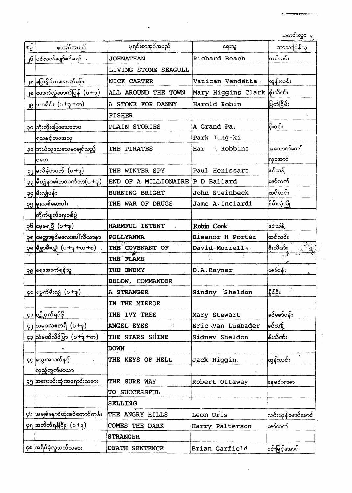သတင်းလွှာ ရ

58,597

| စဉ််      | စာအုပ်အမည်                                         | မှုရင်းစာအုပ်အမည်                                              | ရေးသူ                   | ဘာသာပြန်သူ         |
|-----------|----------------------------------------------------|----------------------------------------------------------------|-------------------------|--------------------|
| $\int$    | ပြင်လယ်ပျော်စင်ရော် -                              | <b>JOHNATHAN</b>                                               | Richard Beach           | ထင်လင်း            |
|           |                                                    | LIVING STONE SEAGULL                                           |                         |                    |
|           | ၂ရ ပြေးနိုင်သလောက်ပြေး                             | NICK CARTER                                                    | Vatican Vendetta.       | ထွန်းလင်း          |
|           | ၂၈ ဖြောက်လွှဲဖောက်ပြန် $(\mathsf{u}{+}\mathsf{q})$ | ALL AROUND THE TOWN                                            | Mary Higgins Clark      | စိုးသိဏ်း          |
| <b>JG</b> | $\vert$ ဘ၀ရိုင်း $(v+3+\infty)$                    | A STONE FOR DANNY                                              | Harold Robin            | မြတ်ငြိမ်း         |
|           |                                                    | <b>FISHER</b>                                                  |                         |                    |
|           | ၃၀ ဘိုးဘိုးပြောသောဘဝ                               | PLAIN STORIES                                                  | A Grand Pa,             | စြိုးဝင်း          |
|           | ရြသနှင့်ဘဝအလှ                                      |                                                                | Park Tung-ki            |                    |
|           | ၃၁ ဘယ်သူသေသေမာချင်သည့်                             | THE PIRATES                                                    | Robbins<br>Har          | အထောက်တော်         |
|           | ငတေ                                                |                                                                |                         | လြအောင်            |
|           | ၃၂ မလိမ့်တပတ် (ပ+ခု)                               | THE WINTER SPY                                                 | Paul Henissart          | ဇင်သန့်            |
|           | ၃၃ မြီလျှံနာ၏ဘဝဝင်္ကဘာ(ပ+ဒု)                       | A MILLIONAIRE P.D Ballard<br>END OF                            |                         | စော်ထက်            |
|           | ၃၄ မြီးလျှံပန်း                                    | <b>BURNING BRIGHT</b>                                          | John Steinbeck          | ကြွယ်လ             |
|           | ၃၅ မူးယစ်ဆေးဝါး                                    | THE WAR OF DRUGS                                               | Jame A. Inciardi        | စြိမ်းလဲ့ညို       |
|           | တိုက်ဖျက်ရေးစစ်ပွဲ                                 |                                                                |                         |                    |
|           | $26$ ေမ့မရပြီ $(0+3)$                              | <b>HARMFUL INTENT</b>                                          | Robin Cook              | <u> ဇင်သန့်</u>    |
|           | ၃ရ <mark>မေတ္တာရှင်မလေးပေါ်လီယာန</mark> ာ          | <b>POLLYANNA</b>                                               | <b>Eleanor H Porter</b> | ထင်လင်း            |
|           | ၃၈ မြိစ္ဆာမ်ိဳးလျှံ (ပ+ဒု +တ +စ) .                 | THE COVENANT OF                                                | David Morrell .         | စိုးသိဏ်း          |
|           |                                                    | THE FLAME                                                      |                         |                    |
|           | ၃၉ ေရေအောက်ရန်သူ                                   | THE ENEMY                                                      | D.A.Rayner              | ော်ဝန်း            |
|           |                                                    | BELOW, COMMANDER                                               |                         |                    |
|           | ၄၀ ရြမ္မက်မ်ိဳးလျှံ (ပ+ဒု)                         | A STRANGER                                                     | Sindny<br>Sheldon       | နိုင်ဦး            |
|           |                                                    | IN THE MIRROR                                                  |                         |                    |
|           | ၄၁ လျှို့ဝှက်ရင်မို                                | THE IVY TREE                                                   | Mary Stewart            | ခင်ဇော်ဝန်း        |
|           | ၄၂ သမုဒယဧကရီ $(0+3)$                               | <b>ANGEL EYES</b><br>$\mathcal{F}^{\mathcal{E}}_{\mathcal{A}}$ | Eric Van Lusbader       | @င်သ\$့            |
|           | ၄၃ သြမဏိလိပ်ပြာ $(\sigma +$ ဒု +တ)                 | THE STARS SHINE                                                | Sidney Sheldon          | စြီးသိဏ်း          |
|           |                                                    | <b>DOWN</b>                                                    |                         |                    |
|           | ၄၄ ဆြွေးအသက်နှင့်                                  | THE KEYS OF HELL                                               | Jack Higgin.            | ထွန်းလင်း          |
|           | လည့်ကွက်မာယာ                                       |                                                                |                         |                    |
|           | ၄၅ အကောင်းဆုံးအရောင်းသမား                          | THE SURE WAY                                                   | Robert Ottaway          | နေမင်းရာဇာ         |
|           |                                                    | TO SUCCESSFUL                                                  |                         |                    |
|           |                                                    | <b>SELLING</b>                                                 |                         |                    |
|           | ၄၆ အချစ်နှောင်ထုံးစစ်တောင်ကုန်း THE ANGRY HILLS    |                                                                | Leon Uris               | လင်းယုန်မောင်မောင် |
|           | ၄ရ အတိတ်ရန်ငြိုး (ပ+ဒု)                            | COMES THE DARK                                                 | Harry Palterson         | ဇော်ထက်            |
|           |                                                    | <b>STRANGER</b>                                                |                         |                    |
|           | ၄၈ အရိပ်မဲ့လူသတ်သမား                               | DEATH SENTENCE                                                 | Brian Garfield          | ဝင်းမြင့်အောင်     |

 $\label{eq:2.1} \frac{1}{\sqrt{2}}\int_{\mathbb{R}^3}\frac{1}{\sqrt{2}}\left(\frac{1}{\sqrt{2}}\int_{\mathbb{R}^3}\frac{1}{\sqrt{2}}\left(\frac{1}{\sqrt{2}}\int_{\mathbb{R}^3}\frac{1}{\sqrt{2}}\right)\frac{1}{\sqrt{2}}\right)\frac{1}{\sqrt{2}}\,d\mu$ 

 $\sim$ 

 $\hat{\mathcal{S}}$ 

 $\hat{\mathbf{r}}$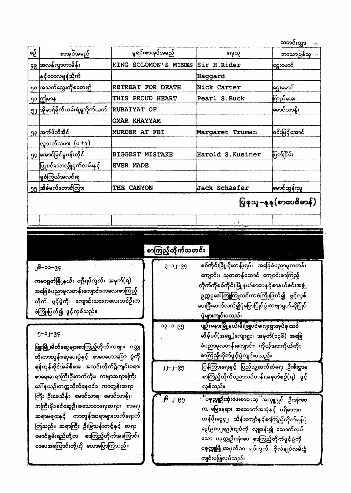| သတင်းလွှာ | Ω |
|-----------|---|
|           |   |

| စဉ်် | စာအုပ်အမည်                       | မူရင်းစာအုပ်အမည်                            | ဂေးသူ             | ဘာသာပြန်သူ               |
|------|----------------------------------|---------------------------------------------|-------------------|--------------------------|
|      | ၄၉ အလန်ကွာတာမိန်း                | SOLOMON'S MINES<br>KING                     | Sir H.Rider       | ြင္မႈမောင်               |
|      | <b>နှင့်စောလမွန်သို</b> က်       |                                             | Haggard           |                          |
|      | ၅၀ အသက်သွေးကိုစတေး၍              | <b>RETREAT</b><br>FOR DEATH                 | Nick Carter       | ငြွေးမောင်               |
| ၅၁   | ဤြမာန                            | <b>THIS</b><br><b>PROUD</b><br><b>HEART</b> | Pearl S. Buck     | ကြည်အေး                  |
|      | ၅၂ အိုမာရ်ခိုက်ယမ်းရဲရှုဘိုက်ယတ် | <b>RUBAIYAT OF</b>                          |                   | မောင်သာနိုး              |
|      |                                  | OMAR KHAYYAM                                |                   |                          |
|      | ၅၃ အက်ဖ်ဘီအိုင်                  | MURDER AT FBI                               | Margaret Truman   | ဝင်းမြင့်အောင်           |
|      | လူသတ်သမား (ပ+ဒု)                 |                                             |                   |                          |
|      | ၅၄ အောင်မြင်မှုပန်းတိုင်         | <b>BIGGEST</b><br><b>MISTAKE</b>            | Harold S. Kusiner | မြတ်ငြိမ်း               |
|      | ဖြူစင်သောလျှို့ဝှက်လမ်းနှင့်     | <b>EVER MADE</b>                            |                   |                          |
|      | <b>ြု</b> ဝဲကြယ်အလင်းစု          |                                             |                   |                          |
|      | ၅၅ အိမ်မက်တောင်ကြား              | <b>CANYON</b><br>THE                        | Jack Schaefer     | <b>ောင်ထွန်းသူ</b>       |
|      |                                  |                                             |                   | ပြွစုသူ–နုနု(စာပေဗိမာန်) |
|      |                                  |                                             |                   |                          |

|                                                                                                                                                                     | စာကြည့်တိုက်သတင်း                                                                                                                                                                                                                                                              |  |
|---------------------------------------------------------------------------------------------------------------------------------------------------------------------|--------------------------------------------------------------------------------------------------------------------------------------------------------------------------------------------------------------------------------------------------------------------------------|--|
| ၂၆–၁၁–၉၄<br>ကမာရွတ်မြို့နယ်၊ ဝဂ္ဂိရပ်ကွက်၊ အမှတ်(ရ)<br>အခြေခံပညာမူလတန်းကျောင်း၊ကလေးစာကြည့်<br>တိုက် ဖွင့်ပွဲကို၊ ကျောင်းသားကလေးတစ်ဦးက<br>ဖဲကြိုးဖြတ်၍ ဖွင့်လှစ်သည်။ | စစ်ကိုင်းမြို့၊ပိုးတန်းရပ်၊ အခြေခံပညာမူလတန်း<br>$9 - 2 - 89$<br>ကျောင်း၊ သုတတန်ဆောင် ကျောင်းစာကြည့်<br>တိုက်ကိုစစ်ကိုင်းမြို့နယ်စာပေနှင့်စာနယ်ဇင်းအဖွဲ့<br>ဉက္ကဌဒေါ်ကြူကြူသင်းကဖဲကြိုးဖြတ်၍ ဖွင့်လှစ်<br>ပေးပြီးဆက်လက်၍ပုံပြောပြိုင်ပွဲ၊ကဗျာရွတ်ဆိုပြိုင်<br>ပွဲများကျင်းပသည်။ |  |
| $9 - 2 - 69$<br>ဖြူးမြို့မိတ်ဆွေများစာကြည့်တိုက်၊ကဗျာ၊ ဝတ္ထု<br>တို၊ကာတွန်း၊ဆုပေးပွဲနှင့် စာပေဟောပြော ပွဲကို                                                        | ပျဉ်းမနားမြို့နယ်၊ဖိဳးဖြူပင်ကျေးရွာအုပ်စု၊သစ်<br>၁၃–၁–၉၅<br>ဆိမ့်ပင်(အရှေ့)ကျေးရွာ၊ အမှတ်(၁၃၆) အခြေ<br>ခံပုညာမူလတန်းကျောင်း၊ ကိုယ့်အားကိုယ်ကိုး<br>စာကြည့်တိုက်ဖွင့်ပွဲကျင်းပသည်။                                                                                              |  |
| ရန်ကုန်၊၀ိုင်အမ်စီအေ အသင်းတိုက်၌ကျင်းပရာ၊                                                                                                                           | ပြန်ကြားရေးနှင့် ပြည်သူ့ဆက်ဆံရေး ဦးစီးဌာန<br><b>C9-L-LL</b>                                                                                                                                                                                                                    |  |

စာရေးဆရာကြီးဦးတက်တိုး၊ ကဗျာဆရာမကြီး ဒေါ်နယဉ်၊တက္ကသိုလ်နေဝင်း၊ ကာတွန်းဆရာ ကြီး ဦးဖေသိန်း၊ မောင်သာရ၊ မောင်သာနိုး၊ ဘကြီးမိုး၊ခင်ဆွေဦး၊စသောစာရေးဆရာ၊ စာရေး ဆရာမများနှင့် ကာတွန်းဆရာများတက်ရောက် ကြသည်။ ဆရာကြီး ဦးမြသန်းတင့်နှင့် ဆရာ မောင်စွမ်းရည်တို့က စာကြည့်တိုက်အကြောင်း၊ စာပေအကြောင်းတို့ကို ဟောပြောကြသည်။

စာကြည့်တိုက်ပညာသင်တန်းအမှတ်စဉ်(ရ) ဖွင့် လှစ်သည်။ ိမ်စုက္ကူဦးအုံးဖေ၊စာပေဆုိအလှူကျွင် ဦးအုံးဖေ  $0.9 - 1 - 61$ က, မြေနေရာ၊ အဆောက်အအုံနှင့် ပရိဘောဂ တန်ဖိုးငွေ၄၂ သိန်းကျော်နှင့်စာကြည့်တိုက်ရန်ပုံ ငွေ(၉၀၁၂ရ၉)ကျပ်ကို လှူဒန်း၍ ဆောက်လုပ် သော<sup>်</sup>ပခုက္ကူဦးအုံးဖေ စာကြည့်တိုက်ဖွင့်ပွဲကို ပခုက္ကူမြို့၊အမှတ်၁၀–ရပ်ကွက် ဗိုလ်ချုပ်လမ်း၌ ကျင်းပပြုလုပ်သည်။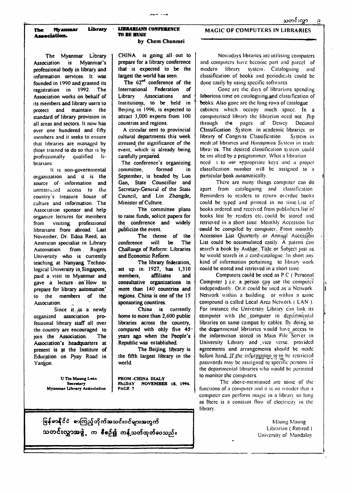**H»e** *Myrnxunar* **Ubraty Association.**

The Myanmar Library Association is Myanmar's professional body in library and information services. It was founded in 1990 and granted its registration in 1992. The Association works on behalf of its members and library users to protect and maintain the standard of library provision in all areas and sectors. It now has over one hundered and fifty members and it seeks to ensure that libraries are managed by those trained to do so that is by professionally qualified librarians.

**It is** non-governmental organization and it is the source of information and unrestricted access to the country's treasure house of culture and information. The Association sponsor and help organize lectures for members from visiting professional librarians from abroad. Last November, Dr. Edna Reed, an American specialist in Library Automation from Rugers University who is currently teaching at Nanyang Technological University in Singapore, paid a visit to Myanmar and gave a lecture. on How to prepare for library automation' to the members of the Association.

Since it  $\mathbf{u}$  is a newly organized association professional library staff all over the country are encouraged to join the Association. The Association's headquarters at present is at the Institute of Education on Pyay Road in Yangon.

The 62<sup>nd</sup> conference of the International Federation of Library Associations and Institutions, to be held in Beijing in 1996, is expected to attract 3,000 experts from 100 countries and regions.

**FROM -CHINA DIALY U Tin Maung Lwin Secretary FRIDAY NOVEMBER 18, 1994. Myanmar Library Association PAGE 7** မြန်မာနိုင်ငံ စာကြည့်တိုက်အသင်းဝင်များအတွက် သတင်းလွှာအဖွဲ့ က စီစဥ်၍ ကန့်သတ်ထုတ်ဝေသည်။

### **LIBRARIANS** CONFKRENCK TO BE HU6I2

#### by Chem Chunmei

Nowadays libraries are utilising computers and computers have become part and parcel of modern library system. Cataloguing and classification of books and periodicals could be done easily by using specific softwares

Gone arc the days of librarians spending laborious time on cataloguing,»pd classification of books: Also gone are the long rows of catalogue cnbincts which . occupy much space. In a computerised library the librarian need not  $\hat{\text{flip}}$ through the pages of Dcwcy Decimal Classification System in academic libraries or library of Congress Classification System in medi ;al libraries and Harmpnius System in trade libra; cs. The desired classification system could be ins alled by a programmer. What a librarian need » to use appropriate keys and a proper classification number will be assigned to a particular book automatically.

CHINA is going all- out to prepare for a library conference that is expected to be the largest the world has seen.

A circular sent to provincial cultural departments this week stressed the significance of the event, which is already being carefully prepared.

The conference's organizing committee, formed in September, is headed by Luo Gan, State Councillor and Secretary-General of the State Council, and Lin Zhongde, Minister of Culture.

The committee plans to raise funds, solicit papers for the conference and widely publicize the event.

The theme of the conference will be The Challange of Reform: Libraries and Economic Reform.

The library federation, set up in 1927, has 1,310 members, affiliates and consultative organizations in more than 140 countries and regions. China is one of the 15 sponsoring countires.

> The above-mentioned arc some of the functions of a computer and it is no wonder thai a computer can perform magic in a library so long as (here is a constant flow of electricity in the library.

China is currently home to more than 2,600 public libraries across the country, compared with only five 45: years ago when the People's Republic was established.

The Beijing library is the fifth largest library in the world.

#### MAGIC OF COMPUTERS IN LIBRARIES

There arc many things computer can do apart from cataloguing and classification Reminders to readers to return overdue books could be typed and printed in no time.List of books ordered and received from publishcrs.lisl of books lost by readers etc. could be stored and retrieved in a short time. Monthly Accession list could be compiled by computer. From monthly Accession List Quarterly or Annual Accession List could be accumulated easily. A patron can search a book by Author. Title or Subject just as. he would search in a card-catalogue. In short any kind of information pertaining to library work could be stored and retrieved in a short time.

Computers could be used as PC ( Personal Computer  $\lambda$  i.e. a person can use the computer independantly. Or.il could be used as a Network. Network within a building or within a same Compound is called Local Area Network ( LAN ). For instance the University Library can link its computer with the computer in departmental libraries on same campus by cables. By doing so the departmental libriaries would have access to the information stored in Main File Server in University Library' and \_vicc verse, provided agreements and arrangements should be made before hand. If the information is to be restricted passwords may be asssigncd to specific persons in the departmental libraries who would be pcrmitcd

to monitor the computers.

Maung Maung Librarian ( Retired ) University of Mandalav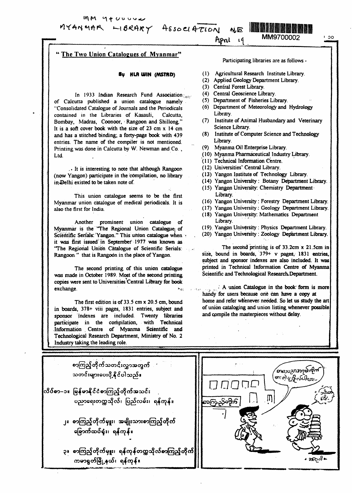$MM$   $9 + U$ U U U U W

MYANMAR LIBRARY ASSOCIATION

**WE WE HAVE BEET THE STATE OF THE BEET** April

## **The Two Union Catalogues of Myanmar"**

#### **By HLR WIN (MSTRD)**

In 1933 Indian Research Fund Association: of Calcutta published a union catalogue namely "Consolidated Catalogue of Journals and the Periodicals contained in the Libraries of Kasauli, Calcutta, Bombay, Madras, Coonoor, > Rangoon and Shillong." It is a soft cover book with the size of 23 cm  $x$  14 cm and has a stitched binding; a forty-page book with 439 entries. The name of the compiler is not mentioned. Printing was done in Calcutta by W. Newman and Co. , Ltd.

• It is interesting to note that although Rangoon (now Yangon) participate in the 'compilation, no library in Delhi existed to be taken note of.

The second printing of this union catalogue was made in October 1989. Most of the second printing copies were sent to Universities'Central Library for book exchange. Night and the contract of the contract of the contract of the contract of the contract of the contract of the contract of the contract of the contract of the contract of the contract of the contract of the contra

This union catalogue seems to be the first Myanmar union catalogue of medical periodicals. It is also the first for India.

The first edition is of 33.5 cm x 20.5 cm, bound in boards, 378+ viii pages, 1831 entries, subject and sponsor indexes are included. Twenty libraries participate in the compilation, with Technical .Information Centre of Myanma Scientific and Technological Research Department, Ministry of No. 2 Industry taking the leading role.

Another prominent union catalogue of Myanmar is the 'The Regional Union Catalogue of Scientific Serials: Yangon." This union catalogue when it was first issued in September 1977 was known as "The Regional Union Catalogue of Scientific Serials: Rangoon " that is Rangoon in the place of Yangon.

> $\mathbb{R}^n$  A union Catalogue in the book form is more handy for users because one can have a copy at home and refer whenever needed. So let us study the art of union cataloging and union listing whenever possible and compile the masterpieces without delay.

**MM9700002** • **00** 



သတင်းများပေးပို့နိုင်ပါသည်။ လြိပ်စာ--၁။ မြန်မာနိုင်ငံစာကြည့်တိုက်အသင်း ပညာရေးတက္ကသိုလ်၊ ပြည်လမ်း၊ ရန်ကုန်။ ၂။ စာကြည့်တိုက်မျုး၊ အမျိုးသားစာကြည့်တိုက် ခြောက်ထပ်ရုံး၊ ရန်ကုန်။ ၃။ စာကြည့်တိုက်မှူး၊ ရန်ကုန်တက္ကသိုလ်စာကြည့်တိုက် ကမာရွတ်မြို့နယ်၊ ရန်ကုန်။

စာကြည့်တိုက်သတင်းလွှာအတွက်

Participating libraries are as follows -

- (1) Agricultural Research Institute Library.
- (2) Applied Geology Department Library.
- (3) Central Forest Library.
- (4) Central Geoscience Library.

19

- (5) Department of Fisheries Library.
- (6) Department of Meteorology and Hydrology Library.
- (7) Institute of Animal Husbandary and Veterinary Science Library.
- (8) Institute of Computer Science and Technology Library.
- (9) Myanma Oil Enterprise Library.
- (10) Myanma Pharmaceutical Industry Library.
- (11) Technical Information Centre.
- (12) Universities'Central Library.
- (13) Yangon Institute of Technology Library.
- (14) Yangon University: Botany Department Library.
- (15) Yangon University: Chemistry Department Library.
- (16) Yangon University: Forestry Department Library.
- (17) Yangon University: Geology Department Library.
- (18) Yangon University: Mathematics Department Library.
- (19) Yangon University : Physics Department Library.
- (20) Yangon University : Zoology Department Library.

The second printing is of 33.2cm x 21.5cm in size, bound in boards, 379+ v pages, 1831 entries, subject and sponsor indexes are also included. It was printed in Technical Information Centre of Myanma Scientific and Technological Research. Department.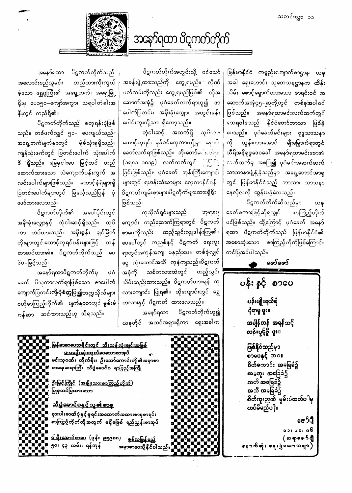အနော်ရထာ ပိဋကတ်တိုက်

ပိဋကတ်တိုက်အတွင်းသို့ ဝင်သော် ျမြန်မာနိုင်ငံ ကမ္ဗည်းကျောက်စာဌာန၊ ယခု အခန်းဖွဲ့ထားသည်ကို တွေ့ရမည်။ လိုဏ် အခါ ရှေးဟောင်း သုတေသနဌာနက ထိန်း ပတ်လမ်းကိုလည်း တွေ့ရမည်ဖြစ်၏။ ထိုအ  $\mid$  သိမ်း စောင့်ရှောက်ထားသော စာရင်းဝင် အ ဆောက်အအုံ၌ ပုဂံခေတ်လက်ရာဟူ၍ ဇာ|ဆောက်အအုံ၄၅−ဆူတို့တွင် တစ်ခုအပါဝင် ဖြစ်သည်။ အနော်ရထာမင်းလက်ထက်တွင် ဆေရဝါဒသည် နိုင်ငံတော်ဘာသာ ဖြစ်ခဲ့ <sup>ညေ့</sup>သည်။ ပုဂံခေတ်မင်းများ ဗုဒ္ဓသာသနၥ ကို ထွန်းကားအောင် ချီးမြှောက်ရာတွင် သီရိအနိရုဒ္ဓဒေဝခေါ် အနော်ရထာမင်းစော၏ ာက်ထက်မှ အစပြု၍ ပုဂံမင်းအဆက်ဆက် သာသာနၥပျံ့နှံ့ခဲ့သည်မှာ အရှေ့တောင်အာရှ တွင် မြန်မာနိုင်ငံသည် ဘာသာ၊ သာသနာ နေလိုလလို ထွန်းပခဲ့လေသည်။

> ပိဋကတ်တိုက်ဆိုသည်မှာ ယခု ခေတ်စကားဖြင့်ဆိုရလျှင် စာကြည့်တိုက် ပင်ဖြစ်သည်။ ထို့ကြောင့် ပုဂံခေတ် အနော် ရထာ ပိဋကတ်တိုက်သည် မြန်မာနိုင်ငံ၏ အစောဆုံးသော စာကြည့်ဟိုက်ဖြစ်ကြောင်း တင်ပြအပ်ပါသည်။

> > တော်တော်

ပန်း နှင့် စာပေ ပန်းမျိုးရယ်စုံ ငုံရာမှု ဖူး။ အချိန်တန် အရန်သင့် လန်းပွင့်ပို့- ဖူး။ **ဖြစ်နို**င်ဆည်မှ၁ စာဖေနှင့် ဘဝ၊ စိတ်ဓကၥင်း အခြေခံ၌

ပေါက်ပြတင်း၊ အမိုးခုံးလျှော၊ အတွင်းခန်း ပေါင်းကူးတို့သာ ရှိတော့သည်။

ဘုံငါးဆင့် အထက်ရှိ ထု $\beta$ ကား $\parallel$ ထောင့်တုရင်၊ မုခ်ဝင်လှေကားတို့မှာ နောင်း ခေတ်လက်ရာဖြစ်သည်။ ဘိုးတော်မ $\cdot : \circ \circ \circ \cdot$ (၁ရ၈၁–၁၈၁၉) လက်ထက်တွင် (မြန်နှံ့ ခြင်းဖြစ်သည်။ ပုဂံခေတ် ဘုန်းကြီးကျောင်း များတွင် ရဟန်းသံဃာများ လေ့လာနိုင်ရန် ပိဋကတ်ကျမ်းစာများ၊ပိဋတိုက်များထားရှိရိုး ဖြစ်သည်။

ကုသိုလ်ရှင်များသည် ဘုရားဂူ ကျောင်း တည်ဆောက်ကြရာတွင် ပိဋကတ် စာပေကိုလည်း ထည့်သွင်းလှူဒါန်းကြ၏။ ပေပေါ်တွင် ကညစ်နှင့် ပိဋကတ် ရေးကူး ရာတွင်အကုန်အကျ မနည်းပေ။ တစ်စုံလျှင် ငွေ သုံးထောင်အထိ ကုန်ကျသည်။ပိဋကတ် အစုံကို သစ်တလားထဲတွင် ထည့်သွင်း သိမ်းဆည်းထားသည်။ ပိဋကတ်ထားရန် ကု လားကျောင်း ပြုရ၏။ ထိုကျောင်းတွင် ရွှေ တလားနှင့် ပိဋကတ် ထားလေသည်။ အနော်ရထာ ပိဋကတ်တိုက်ဟူ၍ ယခုတိုင် အထင်အရှားရှိကာ ရှေးအခါက

အနော်ရထာ ပိဋကတ်တိုက်သည် အလောင်းစည်သူမင်း တည်ထားကိုးကွယ် ခဲ့သော ရွှေဂူကြီး၏ အရှေ့ဘက်၊ အရှေ့မြို့ ရိုးမှ ပေ၁၅၀–ကျော်အကွာ၊ သရပါတံခါးအ နီးတွင် တည်ရှိ၏။

ပိဋကတ်တိုက်သည် စတုရန်းပုံဖြစ် သည်။ တစ်ဖက်လျှင် ၅၁– ပေကျယ်သည်။ အရှေ့ဘက်မျက်နှာတွင် မုံခ်သုံးခုရှိသည်။ ကျန်သုံးဖက်တွင် ပြတင်းပေါက် သုံးပေါက် စီ `ရှိသည်။ မြေမှငါးပေ မြှင့်တင် တည် ဆောက်ထားသော သဲကျောက်ပန်းကွက် အ လင်းပေါက်များဖြစ်သည်။ ထောင့်နှံရံများရှိ ပြတင်းပေါက်များတွင် ခြင်္သေ့လည်ပြန် ပုံ ဖော်ထားလေသည်။

ပိဋကတ်တိုက်၏ အပေါ်ပိုင်းတွင် အမိုးခုံးလျှောနှင့် ဘုံငါးဆင့်ရှိသည်။ ထုပိ ကာ တပ်ထားသည်။ <mark>အမိုးစွန်း</mark> ချင်မြိုတ် တိုးများတွင်၊ထောင့်တုရင်ပန်းများဖြင့် တန် ဆာဆင်ထား၏။ ပိဋကတ်တိုက်သည် ပေ ၆၀–မြင့်သည်။

အနော်ရထာပိဋကတ်တိုက်မှ ပုဂံ ခေတ် ပိသုကာလက်ရာဖြစ်သော ဓာပေါက် ကျောက်ပြတင်းကိုု**ပုံစံတူပြု၍**တက္ကသိုလ်များ ဗဟိုစာကြည့်တိုက်၏ မျက်နှာစာတွင် မွန်းမံ ာန်ဆာ ဆင်ထားသည်ဟု သိရသည်။